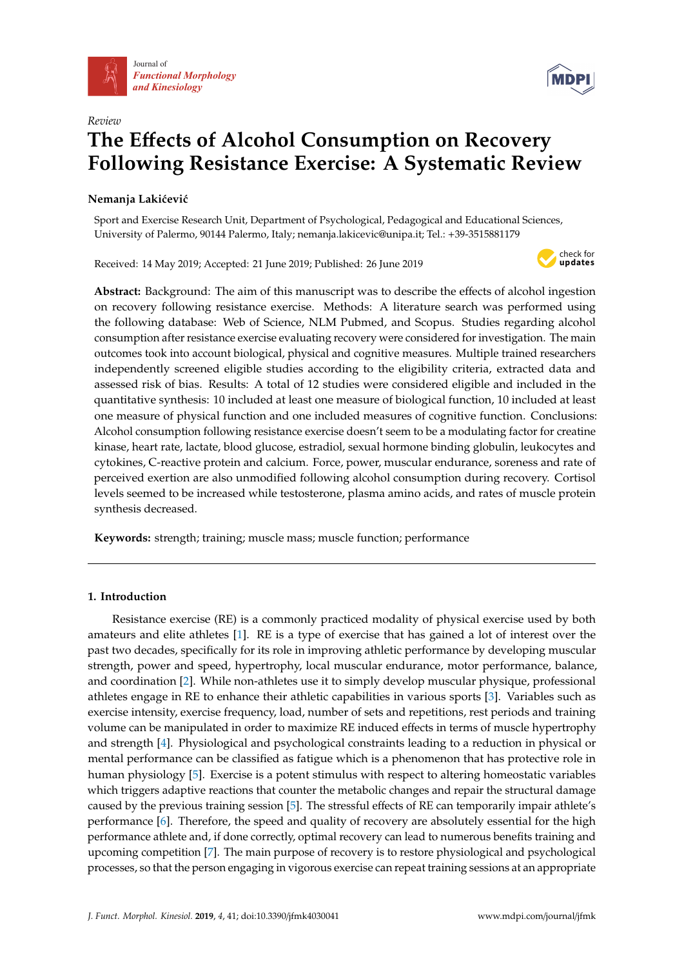



# *Review* **The E**ff**ects of Alcohol Consumption on Recovery Following Resistance Exercise: A Systematic Review**

## **Nemanja Lakićević**

Sport and Exercise Research Unit, Department of Psychological, Pedagogical and Educational Sciences, University of Palermo, 90144 Palermo, Italy; nemanja.lakicevic@unipa.it; Tel.: +39-3515881179

Received: 14 May 2019; Accepted: 21 June 2019; Published: 26 June 2019



**Abstract:** Background: The aim of this manuscript was to describe the effects of alcohol ingestion on recovery following resistance exercise. Methods: A literature search was performed using the following database: Web of Science, NLM Pubmed, and Scopus. Studies regarding alcohol consumption after resistance exercise evaluating recovery were considered for investigation. The main outcomes took into account biological, physical and cognitive measures. Multiple trained researchers independently screened eligible studies according to the eligibility criteria, extracted data and assessed risk of bias. Results: A total of 12 studies were considered eligible and included in the quantitative synthesis: 10 included at least one measure of biological function, 10 included at least one measure of physical function and one included measures of cognitive function. Conclusions: Alcohol consumption following resistance exercise doesn't seem to be a modulating factor for creatine kinase, heart rate, lactate, blood glucose, estradiol, sexual hormone binding globulin, leukocytes and cytokines, C-reactive protein and calcium. Force, power, muscular endurance, soreness and rate of perceived exertion are also unmodified following alcohol consumption during recovery. Cortisol levels seemed to be increased while testosterone, plasma amino acids, and rates of muscle protein synthesis decreased.

**Keywords:** strength; training; muscle mass; muscle function; performance

## **1. Introduction**

Resistance exercise (RE) is a commonly practiced modality of physical exercise used by both amateurs and elite athletes [\[1\]](#page-14-0). RE is a type of exercise that has gained a lot of interest over the past two decades, specifically for its role in improving athletic performance by developing muscular strength, power and speed, hypertrophy, local muscular endurance, motor performance, balance, and coordination [\[2\]](#page-14-1). While non-athletes use it to simply develop muscular physique, professional athletes engage in RE to enhance their athletic capabilities in various sports [\[3\]](#page-15-0). Variables such as exercise intensity, exercise frequency, load, number of sets and repetitions, rest periods and training volume can be manipulated in order to maximize RE induced effects in terms of muscle hypertrophy and strength [\[4\]](#page-15-1). Physiological and psychological constraints leading to a reduction in physical or mental performance can be classified as fatigue which is a phenomenon that has protective role in human physiology [\[5\]](#page-15-2). Exercise is a potent stimulus with respect to altering homeostatic variables which triggers adaptive reactions that counter the metabolic changes and repair the structural damage caused by the previous training session [\[5\]](#page-15-2). The stressful effects of RE can temporarily impair athlete's performance [\[6\]](#page-15-3). Therefore, the speed and quality of recovery are absolutely essential for the high performance athlete and, if done correctly, optimal recovery can lead to numerous benefits training and upcoming competition [\[7\]](#page-15-4). The main purpose of recovery is to restore physiological and psychological processes, so that the person engaging in vigorous exercise can repeat training sessions at an appropriate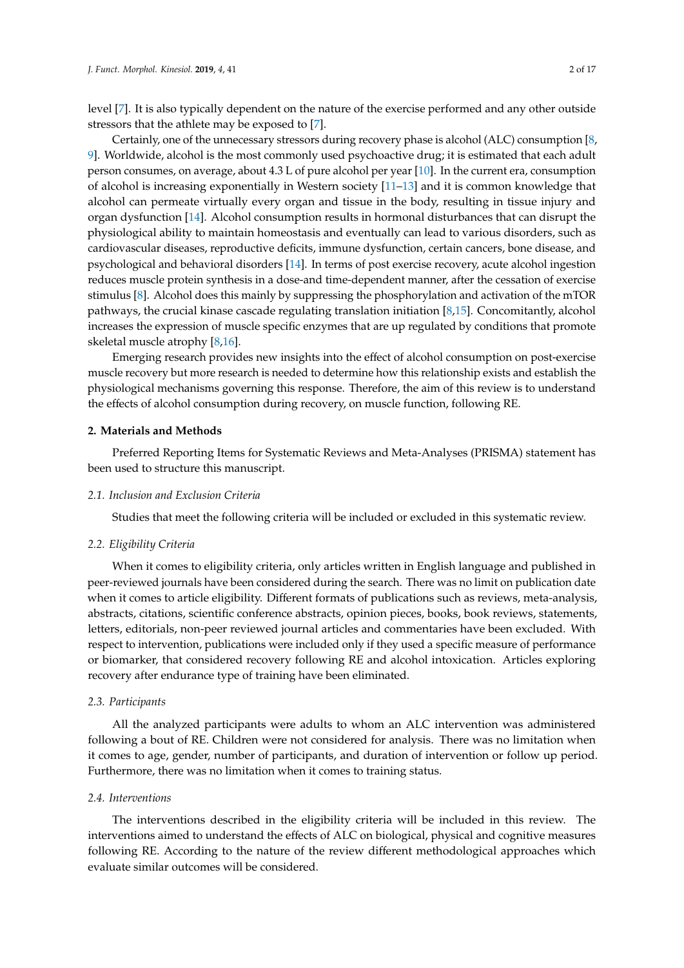level [\[7\]](#page-15-4). It is also typically dependent on the nature of the exercise performed and any other outside stressors that the athlete may be exposed to [\[7\]](#page-15-4).

Certainly, one of the unnecessary stressors during recovery phase is alcohol (ALC) consumption [\[8,](#page-15-5) [9\]](#page-15-6). Worldwide, alcohol is the most commonly used psychoactive drug; it is estimated that each adult person consumes, on average, about 4.3 L of pure alcohol per year [\[10\]](#page-15-7). In the current era, consumption of alcohol is increasing exponentially in Western society [\[11](#page-15-8)[–13\]](#page-15-9) and it is common knowledge that alcohol can permeate virtually every organ and tissue in the body, resulting in tissue injury and organ dysfunction [\[14\]](#page-15-10). Alcohol consumption results in hormonal disturbances that can disrupt the physiological ability to maintain homeostasis and eventually can lead to various disorders, such as cardiovascular diseases, reproductive deficits, immune dysfunction, certain cancers, bone disease, and psychological and behavioral disorders [\[14\]](#page-15-10). In terms of post exercise recovery, acute alcohol ingestion reduces muscle protein synthesis in a dose-and time-dependent manner, after the cessation of exercise stimulus [\[8\]](#page-15-5). Alcohol does this mainly by suppressing the phosphorylation and activation of the mTOR pathways, the crucial kinase cascade regulating translation initiation [\[8,](#page-15-5)[15\]](#page-15-11). Concomitantly, alcohol increases the expression of muscle specific enzymes that are up regulated by conditions that promote skeletal muscle atrophy [\[8,](#page-15-5)[16\]](#page-15-12).

Emerging research provides new insights into the effect of alcohol consumption on post-exercise muscle recovery but more research is needed to determine how this relationship exists and establish the physiological mechanisms governing this response. Therefore, the aim of this review is to understand the effects of alcohol consumption during recovery, on muscle function, following RE.

#### **2. Materials and Methods**

Preferred Reporting Items for Systematic Reviews and Meta-Analyses (PRISMA) statement has been used to structure this manuscript.

#### *2.1. Inclusion and Exclusion Criteria*

Studies that meet the following criteria will be included or excluded in this systematic review.

#### *2.2. Eligibility Criteria*

When it comes to eligibility criteria, only articles written in English language and published in peer-reviewed journals have been considered during the search. There was no limit on publication date when it comes to article eligibility. Different formats of publications such as reviews, meta-analysis, abstracts, citations, scientific conference abstracts, opinion pieces, books, book reviews, statements, letters, editorials, non-peer reviewed journal articles and commentaries have been excluded. With respect to intervention, publications were included only if they used a specific measure of performance or biomarker, that considered recovery following RE and alcohol intoxication. Articles exploring recovery after endurance type of training have been eliminated.

#### *2.3. Participants*

All the analyzed participants were adults to whom an ALC intervention was administered following a bout of RE. Children were not considered for analysis. There was no limitation when it comes to age, gender, number of participants, and duration of intervention or follow up period. Furthermore, there was no limitation when it comes to training status.

## *2.4. Interventions*

The interventions described in the eligibility criteria will be included in this review. The interventions aimed to understand the effects of ALC on biological, physical and cognitive measures following RE. According to the nature of the review different methodological approaches which evaluate similar outcomes will be considered.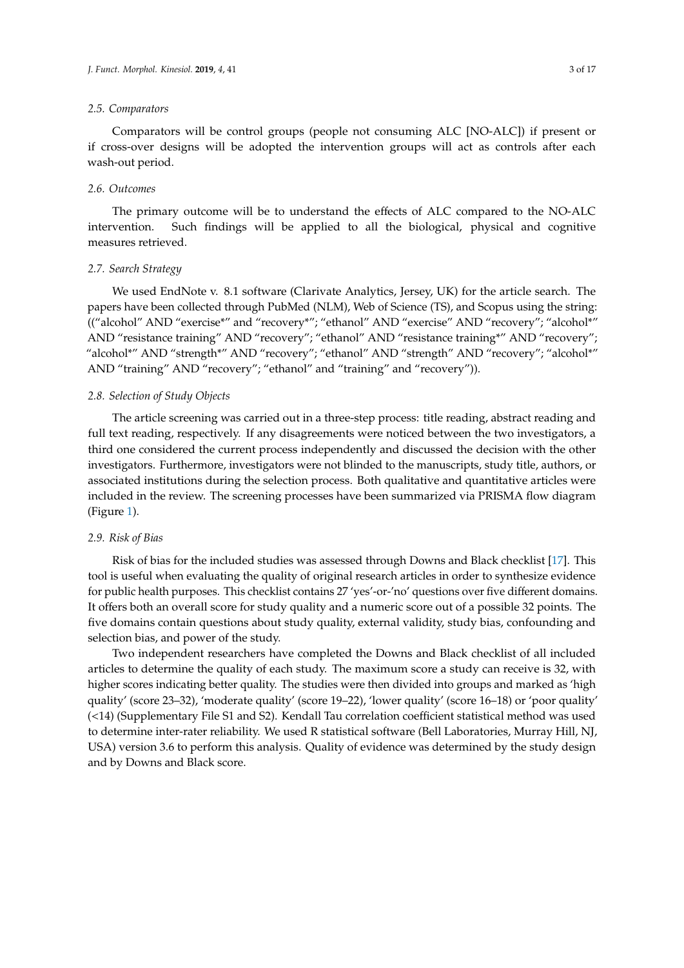#### *2.5. Comparators*

Comparators will be control groups (people not consuming ALC [NO-ALC]) if present or if cross-over designs will be adopted the intervention groups will act as controls after each wash-out period.

#### *2.6. Outcomes*

The primary outcome will be to understand the effects of ALC compared to the NO-ALC intervention. Such findings will be applied to all the biological, physical and cognitive measures retrieved.

## *2.7. Search Strategy*

We used EndNote v. 8.1 software (Clarivate Analytics, Jersey, UK) for the article search. The papers have been collected through PubMed (NLM), Web of Science (TS), and Scopus using the string: (("alcohol" AND "exercise\*" and "recovery\*"; "ethanol" AND "exercise" AND "recovery"; "alcohol\*" AND "resistance training" AND "recovery"; "ethanol" AND "resistance training\*" AND "recovery"; "alcohol\*" AND "strength\*" AND "recovery"; "ethanol" AND "strength" AND "recovery"; "alcohol\*" AND "training" AND "recovery"; "ethanol" and "training" and "recovery")).

#### *2.8. Selection of Study Objects*

The article screening was carried out in a three-step process: title reading, abstract reading and full text reading, respectively. If any disagreements were noticed between the two investigators, a third one considered the current process independently and discussed the decision with the other investigators. Furthermore, investigators were not blinded to the manuscripts, study title, authors, or associated institutions during the selection process. Both qualitative and quantitative articles were included in the review. The screening processes have been summarized via PRISMA flow diagram (Figure [1\)](#page-3-0).

#### *2.9. Risk of Bias*

Risk of bias for the included studies was assessed through Downs and Black checklist [\[17\]](#page-15-13). This tool is useful when evaluating the quality of original research articles in order to synthesize evidence for public health purposes. This checklist contains 27 'yes'-or-'no' questions over five different domains. It offers both an overall score for study quality and a numeric score out of a possible 32 points. The five domains contain questions about study quality, external validity, study bias, confounding and selection bias, and power of the study.

Two independent researchers have completed the Downs and Black checklist of all included articles to determine the quality of each study. The maximum score a study can receive is 32, with higher scores indicating better quality. The studies were then divided into groups and marked as 'high quality' (score 23–32), 'moderate quality' (score 19–22), 'lower quality' (score 16–18) or 'poor quality' (<14) (Supplementary File S1 and S2). Kendall Tau correlation coefficient statistical method was used to determine inter-rater reliability. We used R statistical software (Bell Laboratories, Murray Hill, NJ, USA) version 3.6 to perform this analysis. Quality of evidence was determined by the study design and by Downs and Black score.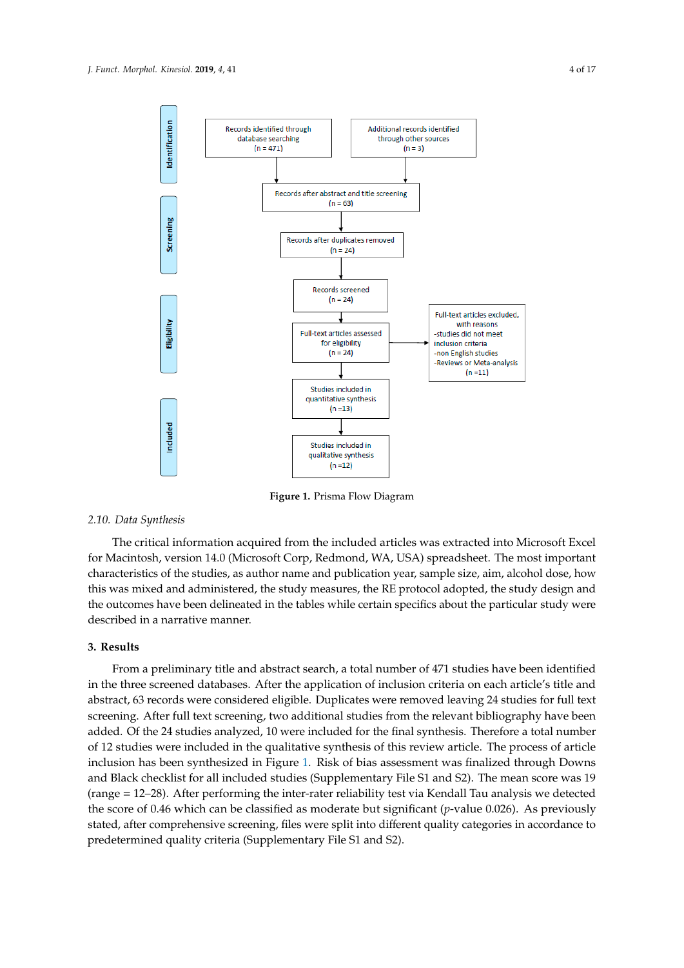<span id="page-3-0"></span>

**Figure 1.** Prisma Flow Diagram **Figure 1.** Prisma Flow Diagram

## *2.9. Risk of Bias 2.10. Data Synthesis*

The critical information acquired from the included articles was extracted into Microsoft  $\operatorname{Excel}$ for Macintosh, version 14.0 (Microsoft Corp, Redmond, WA, USA) spreadsheet. The most important characteristics of the studies, as author name and publication year, sample size, aim, alcohol dose, how this was mixed and administered, the study measures, the RE protocol adopted, the study design and the outcomes have been delineated in the tables while certain specifics about the particular study were described in a narrative manner.

#### $T_{\text{ref}}$ articles to determine the quality of each study. The maximum score a study can receive is  $32, 22, 32, ...$ **3. Results**

From a preliminary title and abstract search, a total number of 471 studies have been identified in the three screened databases. After the application of inclusion criteria on each article's title and abstract, 63 records were considered eligible. Duplicates were removed leaving 24 studies for full text screening. After full text screening, two additional studies from the relevant bibliography have been added. Of the 24 studies analyzed, 10 were included for the final synthesis. Therefore a total number of 12 studies were included in the qualitative synthesis of this review article. The process of article *2.10. Data Synthesis* and Black checklist for all included studies (Supplementary File S1 and S2). The mean score was 19 (range = 12–28). After performing the inter-rater reliability test via Kendall Tau analysis we detected  $\frac{1}{2}$ the score of 0.46 which can be classified as moderate but significant (*p*-value 0.026). As previously stated, after comprehensive screening, files were split into different quality categories in accordance to predetermined quality criteria (Supplementary File S1 and S2). inclusion has been synthesized in Figure [1.](#page-3-0) Risk of bias assessment was finalized through Downs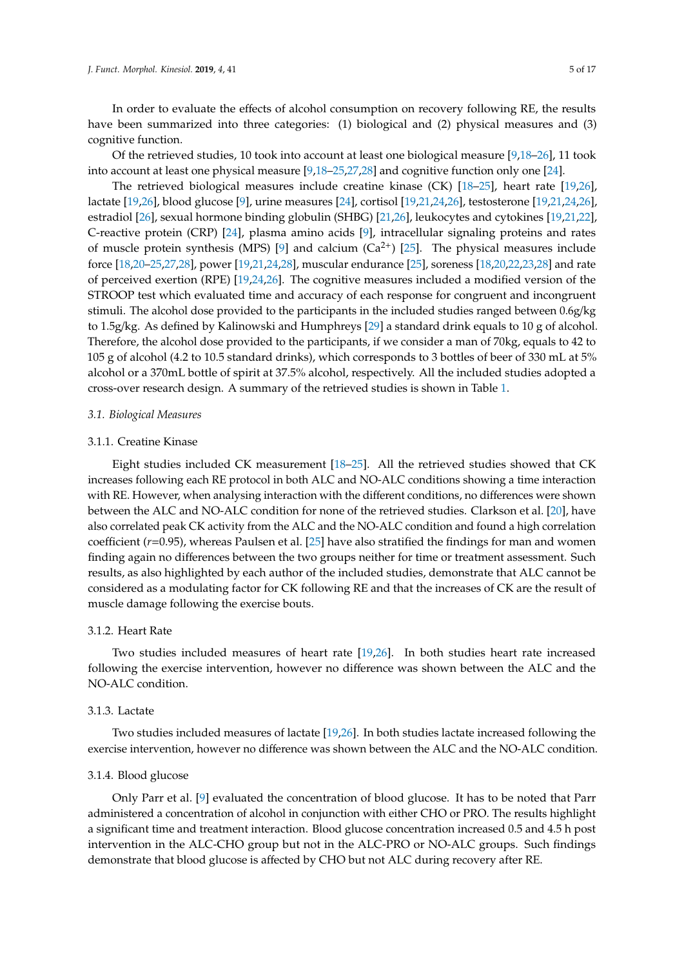In order to evaluate the effects of alcohol consumption on recovery following RE, the results have been summarized into three categories: (1) biological and (2) physical measures and (3) cognitive function.

Of the retrieved studies, 10 took into account at least one biological measure [\[9,](#page-15-6)[18–](#page-15-14)[26\]](#page-16-0), 11 took into account at least one physical measure [\[9](#page-15-6)[,18–](#page-15-14)[25](#page-15-15)[,27,](#page-16-1)[28\]](#page-16-2) and cognitive function only one [\[24\]](#page-15-16).

The retrieved biological measures include creatine kinase (CK) [\[18](#page-15-14)[–25\]](#page-15-15), heart rate [\[19,](#page-15-17)[26\]](#page-16-0), lactate [\[19](#page-15-17)[,26\]](#page-16-0), blood glucose [\[9\]](#page-15-6), urine measures [\[24\]](#page-15-16), cortisol [\[19,](#page-15-17)[21,](#page-15-18)[24,](#page-15-16)[26\]](#page-16-0), testosterone [\[19](#page-15-17)[,21,](#page-15-18)[24,](#page-15-16)[26\]](#page-16-0), estradiol [\[26\]](#page-16-0), sexual hormone binding globulin (SHBG) [\[21,](#page-15-18)[26\]](#page-16-0), leukocytes and cytokines [\[19,](#page-15-17)[21,](#page-15-18)[22\]](#page-15-19), C-reactive protein (CRP) [\[24\]](#page-15-16), plasma amino acids [\[9\]](#page-15-6), intracellular signaling proteins and rates of muscle protein synthesis (MPS) [\[9\]](#page-15-6) and calcium  $(Ca^{2+})$  [\[25\]](#page-15-15). The physical measures include force [\[18,](#page-15-14)[20–](#page-15-20)[25](#page-15-15)[,27,](#page-16-1)[28\]](#page-16-2), power [\[19](#page-15-17)[,21](#page-15-18)[,24,](#page-15-16)[28\]](#page-16-2), muscular endurance [\[25\]](#page-15-15), soreness [\[18,](#page-15-14)[20,](#page-15-20)[22,](#page-15-19)[23](#page-15-21)[,28\]](#page-16-2) and rate of perceived exertion (RPE) [\[19,](#page-15-17)[24](#page-15-16)[,26\]](#page-16-0). The cognitive measures included a modified version of the STROOP test which evaluated time and accuracy of each response for congruent and incongruent stimuli. The alcohol dose provided to the participants in the included studies ranged between 0.6g/kg to 1.5g/kg. As defined by Kalinowski and Humphreys [\[29\]](#page-16-3) a standard drink equals to 10 g of alcohol. Therefore, the alcohol dose provided to the participants, if we consider a man of 70kg, equals to 42 to 105 g of alcohol (4.2 to 10.5 standard drinks), which corresponds to 3 bottles of beer of 330 mL at 5% alcohol or a 370mL bottle of spirit at 37.5% alcohol, respectively. All the included studies adopted a cross-over research design. A summary of the retrieved studies is shown in Table [1.](#page-7-0)

## *3.1. Biological Measures*

#### 3.1.1. Creatine Kinase

Eight studies included CK measurement [\[18](#page-15-14)[–25\]](#page-15-15). All the retrieved studies showed that CK increases following each RE protocol in both ALC and NO-ALC conditions showing a time interaction with RE. However, when analysing interaction with the different conditions, no differences were shown between the ALC and NO-ALC condition for none of the retrieved studies. Clarkson et al. [\[20\]](#page-15-20), have also correlated peak CK activity from the ALC and the NO-ALC condition and found a high correlation coefficient (*r*=0.95), whereas Paulsen et al. [\[25\]](#page-15-15) have also stratified the findings for man and women finding again no differences between the two groups neither for time or treatment assessment. Such results, as also highlighted by each author of the included studies, demonstrate that ALC cannot be considered as a modulating factor for CK following RE and that the increases of CK are the result of muscle damage following the exercise bouts.

## 3.1.2. Heart Rate

Two studies included measures of heart rate [\[19,](#page-15-17)[26\]](#page-16-0). In both studies heart rate increased following the exercise intervention, however no difference was shown between the ALC and the NO-ALC condition.

## 3.1.3. Lactate

Two studies included measures of lactate [\[19,](#page-15-17)[26\]](#page-16-0). In both studies lactate increased following the exercise intervention, however no difference was shown between the ALC and the NO-ALC condition.

## 3.1.4. Blood glucose

Only Parr et al. [\[9\]](#page-15-6) evaluated the concentration of blood glucose. It has to be noted that Parr administered a concentration of alcohol in conjunction with either CHO or PRO. The results highlight a significant time and treatment interaction. Blood glucose concentration increased 0.5 and 4.5 h post intervention in the ALC-CHO group but not in the ALC-PRO or NO-ALC groups. Such findings demonstrate that blood glucose is affected by CHO but not ALC during recovery after RE.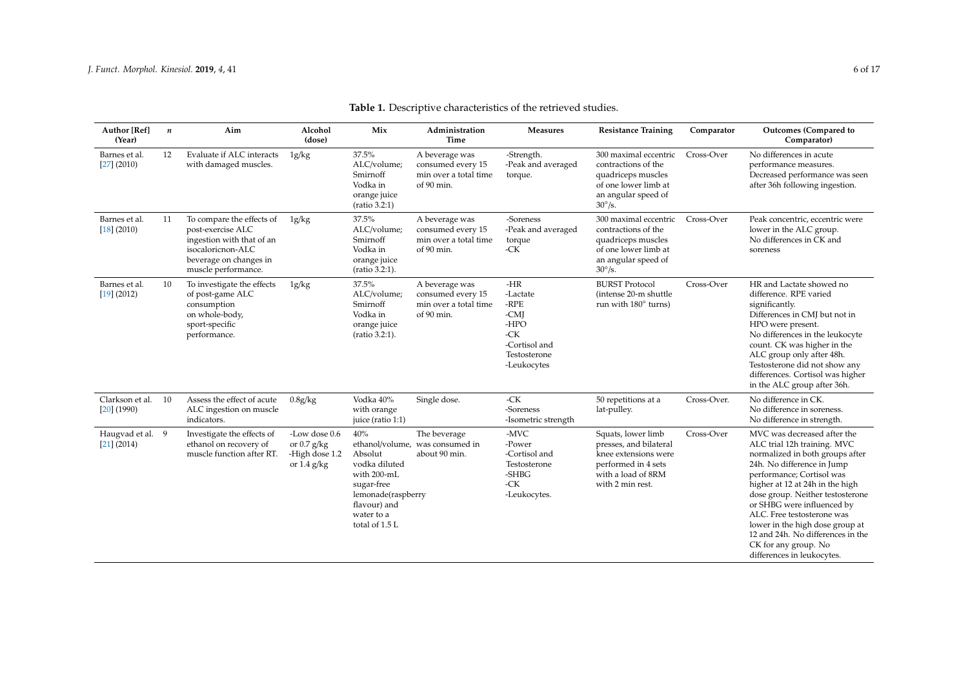| Author [Ref]<br>(Year)            | $\boldsymbol{n}$ | Aim                                                                                                                                               | Alcohol<br>(dose)                                                 | Mix                                                                                                                                | Administration<br>Time                                                                | <b>Measures</b>                                                                                      | <b>Resistance Training</b>                                                                                                            | Comparator  | <b>Outcomes</b> (Compared to<br>Comparator)                                                                                                                                                                                                                                                                                                                                                                               |
|-----------------------------------|------------------|---------------------------------------------------------------------------------------------------------------------------------------------------|-------------------------------------------------------------------|------------------------------------------------------------------------------------------------------------------------------------|---------------------------------------------------------------------------------------|------------------------------------------------------------------------------------------------------|---------------------------------------------------------------------------------------------------------------------------------------|-------------|---------------------------------------------------------------------------------------------------------------------------------------------------------------------------------------------------------------------------------------------------------------------------------------------------------------------------------------------------------------------------------------------------------------------------|
| Barnes et al.<br>$[27]$ (2010)    | 12               | Evaluate if ALC interacts<br>with damaged muscles.                                                                                                | 1g/kg                                                             | 37.5%<br>ALC/volume;<br>Smirnoff<br>Vodka in<br>orange juice<br>(ratio 3.2:1)                                                      | A beverage was<br>consumed every 15<br>min over a total time<br>of $90 \text{ min}$ . | -Strength.<br>-Peak and averaged<br>torque.                                                          | 300 maximal eccentric<br>contractions of the<br>quadriceps muscles<br>of one lower limb at<br>an angular speed of<br>$30^{\circ}/s$ . | Cross-Over  | No differences in acute<br>performance measures.<br>Decreased performance was seen<br>after 36h following ingestion.                                                                                                                                                                                                                                                                                                      |
| Barnes et al.<br>$[18]$ (2010)    | 11               | To compare the effects of<br>post-exercise ALC<br>ingestion with that of an<br>isocaloricnon-ALC<br>beverage on changes in<br>muscle performance. | 1g/kg                                                             | 37.5%<br>ALC/volume;<br>Smirnoff<br>Vodka in<br>orange juice<br>(ratio 3.2:1).                                                     | A beverage was<br>consumed every 15<br>min over a total time<br>of 90 min.            | -Soreness<br>-Peak and averaged<br>torque<br>$-CK$                                                   | 300 maximal eccentric<br>contractions of the<br>quadriceps muscles<br>of one lower limb at<br>an angular speed of<br>$30^{\circ}/s$ . | Cross-Over  | Peak concentric, eccentric were<br>lower in the ALC group.<br>No differences in CK and<br>soreness                                                                                                                                                                                                                                                                                                                        |
| Barnes et al.<br>[19] (2012)      | 10               | To investigate the effects<br>of post-game ALC<br>consumption<br>on whole-body,<br>sport-specific<br>performance.                                 | 1g/kg                                                             | 37.5%<br>ALC/volume;<br>Smirnoff<br>Vodka in<br>orange juice<br>$(ratio 3.2:1)$ .                                                  | A beverage was<br>consumed every 15<br>min over a total time<br>of $90 \text{ min}$ . | -HR<br>-Lactate<br>$-RPE$<br>$-CMI$<br>-HPO<br>$-CK$<br>-Cortisol and<br>Testosterone<br>-Leukocytes | <b>BURST Protocol</b><br>(intense 20-m shuttle)<br>run with 180° turns)                                                               | Cross-Over  | HR and Lactate showed no<br>difference. RPE varied<br>significantly.<br>Differences in CMJ but not in<br>HPO were present.<br>No differences in the leukocyte<br>count. CK was higher in the<br>ALC group only after 48h.<br>Testosterone did not show any<br>differences. Cortisol was higher<br>in the ALC group after 36h.                                                                                             |
| Clarkson et al.<br>$[20]$ (1990)  | 10               | Assess the effect of acute<br>ALC ingestion on muscle<br>indicators.                                                                              | 0.8g/kg                                                           | Vodka 40%<br>with orange<br>juice (ratio 1:1)                                                                                      | Single dose.                                                                          | $-CK$<br>-Soreness<br>-Isometric strength                                                            | 50 repetitions at a<br>lat-pulley.                                                                                                    | Cross-Over. | No difference in CK.<br>No difference in soreness.<br>No difference in strength.                                                                                                                                                                                                                                                                                                                                          |
| Haugvad et al. 9<br>$[21]$ (2014) |                  | Investigate the effects of<br>ethanol on recovery of<br>muscle function after RT.                                                                 | -Low dose 0.6<br>or $0.7$ g/kg<br>-High dose 1.2<br>or $1.4$ g/kg | 40%<br>Absolut<br>vodka diluted<br>with 200-mL<br>sugar-free<br>lemonade(raspberry<br>flavour) and<br>water to a<br>total of 1.5 L | The beverage<br>ethanol/volume, was consumed in<br>about 90 min.                      | - $MVC$<br>-Power<br>-Cortisol and<br>Testosterone<br>-SHBG<br>$-CK$<br>-Leukocytes.                 | Squats, lower limb<br>presses, and bilateral<br>knee extensions were<br>performed in 4 sets<br>with a load of 8RM<br>with 2 min rest. | Cross-Over  | MVC was decreased after the<br>ALC trial 12h training. MVC<br>normalized in both groups after<br>24h. No difference in Jump<br>performance; Cortisol was<br>higher at 12 at 24h in the high<br>dose group. Neither testosterone<br>or SHBG were influenced by<br>ALC. Free testosterone was<br>lower in the high dose group at<br>12 and 24h. No differences in the<br>CK for any group. No<br>differences in leukocytes. |

## **Table 1.** Descriptive characteristics of the retrieved studies.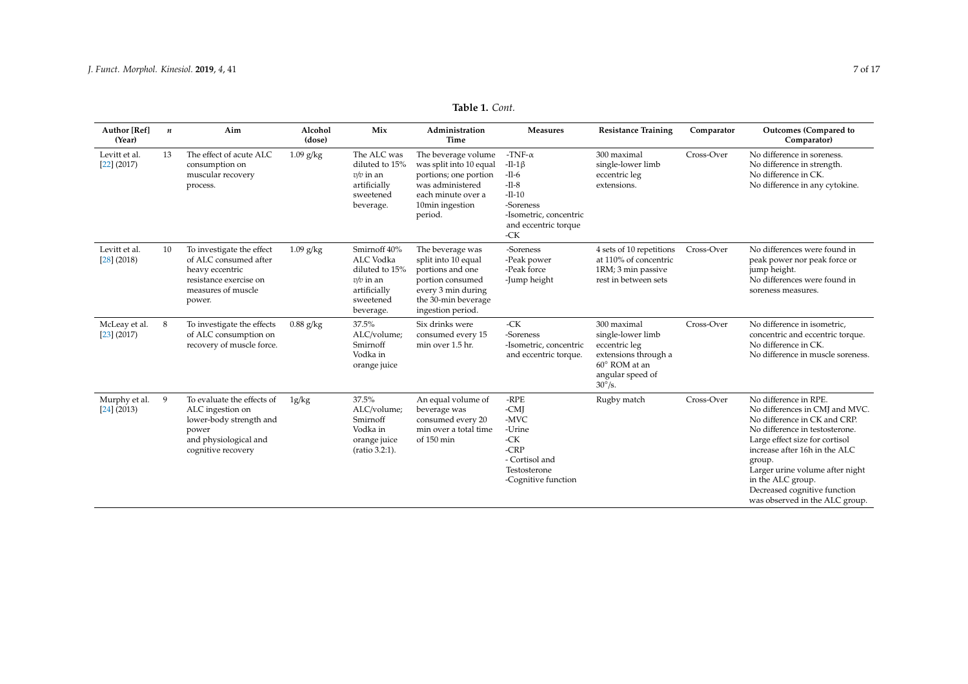| Author [Ref]<br>(Year)         | $\boldsymbol{n}$ | Aim                                                                                                                               | Alcohol<br>(dose) | Mix                                                                                                         | Administration<br>Time                                                                                                                            | <b>Measures</b>                                                                                                                          | <b>Resistance Training</b>                                                                                                         | Comparator | <b>Outcomes</b> (Compared to<br>Comparator)                                                                                                                                                                                                                                                                                      |
|--------------------------------|------------------|-----------------------------------------------------------------------------------------------------------------------------------|-------------------|-------------------------------------------------------------------------------------------------------------|---------------------------------------------------------------------------------------------------------------------------------------------------|------------------------------------------------------------------------------------------------------------------------------------------|------------------------------------------------------------------------------------------------------------------------------------|------------|----------------------------------------------------------------------------------------------------------------------------------------------------------------------------------------------------------------------------------------------------------------------------------------------------------------------------------|
| Levitt et al.<br>$[22]$ (2017) | 13               | The effect of acute ALC<br>consumption on<br>muscular recovery<br>process.                                                        | $1.09$ g/kg       | The ALC was<br>diluted to 15%<br>$v/v$ in an<br>artificially<br>sweetened<br>beverage.                      | The beverage volume<br>was split into 10 equal<br>portions; one portion<br>was administered<br>each minute over a<br>10min ingestion<br>period.   | -TNF- $\alpha$<br>$-II-1\beta$<br>$-Il-6$<br>$-Il-8$<br>$-Il-10$<br>-Soreness<br>-Isometric, concentric<br>and eccentric torque<br>$-CK$ | 300 maximal<br>single-lower limb<br>eccentric leg<br>extensions.                                                                   | Cross-Over | No difference in soreness.<br>No difference in strength.<br>No difference in CK.<br>No difference in any cytokine.                                                                                                                                                                                                               |
| Levitt et al.<br>$[28]$ (2018) | 10               | To investigate the effect<br>of ALC consumed after<br>heavy eccentric<br>resistance exercise on<br>measures of muscle<br>power.   | $1.09$ g/kg       | Smirnoff 40%<br><b>ALC</b> Vodka<br>diluted to 15%<br>$v/v$ in an<br>artificially<br>sweetened<br>beverage. | The beverage was<br>split into 10 equal<br>portions and one<br>portion consumed<br>every 3 min during<br>the 30-min beverage<br>ingestion period. | -Soreness<br>-Peak power<br>-Peak force<br>-Jump height                                                                                  | 4 sets of 10 repetitions<br>at 110% of concentric<br>1RM; 3 min passive<br>rest in between sets                                    | Cross-Over | No differences were found in<br>peak power nor peak force or<br>jump height.<br>No differences were found in<br>soreness measures.                                                                                                                                                                                               |
| McLeay et al.<br>$[23]$ (2017) | 8                | To investigate the effects<br>of ALC consumption on<br>recovery of muscle force.                                                  | $0.88$ g/kg       | 37.5%<br>ALC/volume;<br>Smirnoff<br>Vodka in<br>orange juice                                                | Six drinks were<br>consumed every 15<br>min over 1.5 hr.                                                                                          | $-CK$<br>-Soreness<br>-Isometric, concentric<br>and eccentric torque.                                                                    | 300 maximal<br>single-lower limb<br>eccentric leg<br>extensions through a<br>60° ROM at an<br>angular speed of<br>$30^{\circ}/s$ . | Cross-Over | No difference in isometric,<br>concentric and eccentric torque.<br>No difference in CK.<br>No difference in muscle soreness.                                                                                                                                                                                                     |
| Murphy et al.<br>$[24]$ (2013) | 9                | To evaluate the effects of<br>ALC ingestion on<br>lower-body strength and<br>power<br>and physiological and<br>cognitive recovery | 1g/kg             | 37.5%<br>ALC/volume;<br>Smirnoff<br>Vodka in<br>orange juice<br>$(ratio 3.2:1)$ .                           | An equal volume of<br>beverage was<br>consumed every 20<br>min over a total time<br>of 150 min                                                    | -RPE<br>-CMI<br>-MVC<br>-Urine<br>$-CK$<br>$-CRP$<br>- Cortisol and<br>Testosterone<br>-Cognitive function                               | Rugby match                                                                                                                        | Cross-Over | No difference in RPE.<br>No differences in CMJ and MVC.<br>No difference in CK and CRP.<br>No difference in testosterone.<br>Large effect size for cortisol<br>increase after 16h in the ALC<br>group.<br>Larger urine volume after night<br>in the ALC group.<br>Decreased cognitive function<br>was observed in the ALC group. |

**Table 1.** *Cont.*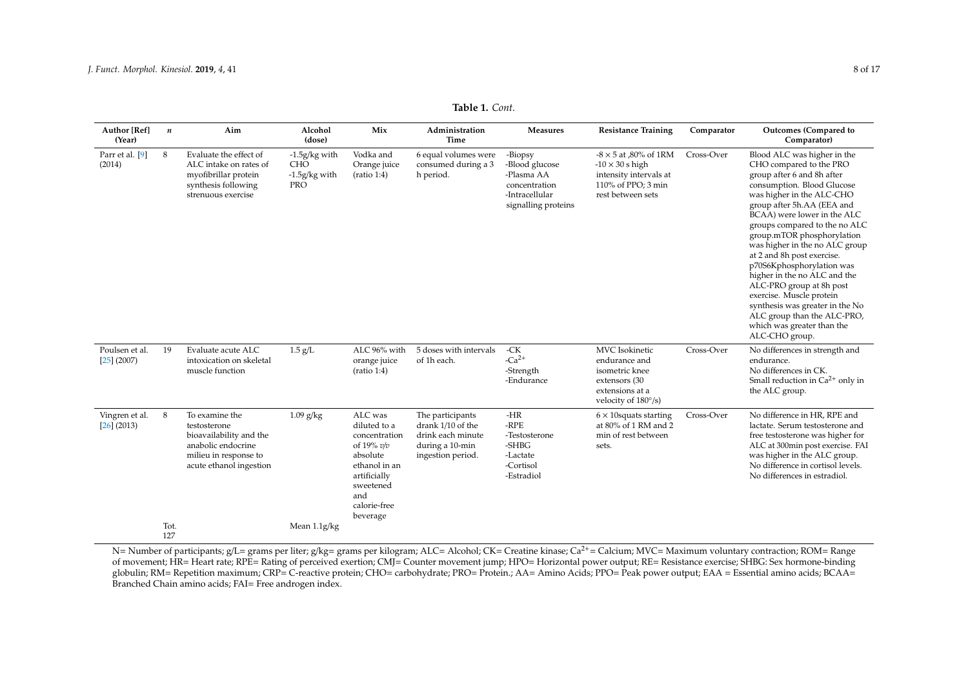| Author [Ref]<br>(Year)          | $\boldsymbol{n}$ | Aim                                                                                                                                 | Alcohol<br>(dose)                                         | Mix                                                                                                                                                    | Administration<br>Time                                                                             | <b>Measures</b>                                                                                   | <b>Resistance Training</b>                                                                                                  | Comparator | <b>Outcomes</b> (Compared to<br>Comparator)                                                                                                                                                                                                                                                                                                                                                                                                                                                                                                                                        |
|---------------------------------|------------------|-------------------------------------------------------------------------------------------------------------------------------------|-----------------------------------------------------------|--------------------------------------------------------------------------------------------------------------------------------------------------------|----------------------------------------------------------------------------------------------------|---------------------------------------------------------------------------------------------------|-----------------------------------------------------------------------------------------------------------------------------|------------|------------------------------------------------------------------------------------------------------------------------------------------------------------------------------------------------------------------------------------------------------------------------------------------------------------------------------------------------------------------------------------------------------------------------------------------------------------------------------------------------------------------------------------------------------------------------------------|
| Parr et al. [9]<br>(2014)       | 8                | Evaluate the effect of<br>ALC intake on rates of<br>myofibrillar protein<br>synthesis following<br>strenuous exercise               | $-1.5$ g/kg with<br>CHO<br>$-1.5$ g/kg with<br><b>PRO</b> | Vodka and<br>Orange juice<br>(ratio 1:4)                                                                                                               | 6 equal volumes were<br>consumed during a 3<br>h period.                                           | -Biopsy<br>-Blood glucose<br>-Plasma AA<br>concentration<br>-Intracellular<br>signalling proteins | $-8 \times 5$ at ,80% of 1RM<br>$-10 \times 30$ s high<br>intensity intervals at<br>110% of PPO; 3 min<br>rest between sets | Cross-Over | Blood ALC was higher in the<br>CHO compared to the PRO<br>group after 6 and 8h after<br>consumption. Blood Glucose<br>was higher in the ALC-CHO<br>group after 5h.AA (EEA and<br>BCAA) were lower in the ALC<br>groups compared to the no ALC<br>group.mTOR phosphorylation<br>was higher in the no ALC group<br>at 2 and 8h post exercise.<br>p70S6Kphosphorylation was<br>higher in the no ALC and the<br>ALC-PRO group at 8h post<br>exercise. Muscle protein<br>synthesis was greater in the No<br>ALC group than the ALC-PRO,<br>which was greater than the<br>ALC-CHO group. |
| Poulsen et al.<br>$[25]$ (2007) | 19               | Evaluate acute ALC<br>intoxication on skeletal<br>muscle function                                                                   | $1.5$ g/L                                                 | ALC 96% with<br>orange juice<br>(ratio 1:4)                                                                                                            | 5 doses with intervals<br>of 1h each.                                                              | $-CK$<br>$-Ca^{2+}$<br>-Strength<br>-Endurance                                                    | MVC Isokinetic<br>endurance and<br>isometric knee<br>extensors (30<br>extensions at a<br>velocity of $180^{\circ}/s$ )      | Cross-Over | No differences in strength and<br>endurance.<br>No differences in CK.<br>Small reduction in $Ca^{2+}$ only in<br>the ALC group.                                                                                                                                                                                                                                                                                                                                                                                                                                                    |
| Vingren et al.<br>$[26]$ (2013) | 8<br>Tot.        | To examine the<br>testosterone<br>bioavailability and the<br>anabolic endocrine<br>milieu in response to<br>acute ethanol ingestion | $1.09$ g/kg<br>Mean 1.1g/kg                               | ALC was<br>diluted to a<br>concentration<br>of $19\%$ v/v<br>absolute<br>ethanol in an<br>artificially<br>sweetened<br>and<br>calorie-free<br>beverage | The participants<br>drank 1/10 of the<br>drink each minute<br>during a 10-min<br>ingestion period. | -HR<br>$-RPE$<br>-Testosterone<br>-SHBG<br>-Lactate<br>-Cortisol<br>-Estradiol                    | $6 \times 10$ squats starting<br>at 80% of 1 RM and 2<br>min of rest between<br>sets.                                       | Cross-Over | No difference in HR, RPE and<br>lactate. Serum testosterone and<br>free testosterone was higher for<br>ALC at 300min post exercise. FAI<br>was higher in the ALC group.<br>No difference in cortisol levels.<br>No differences in estradiol.                                                                                                                                                                                                                                                                                                                                       |
|                                 | 127              |                                                                                                                                     |                                                           |                                                                                                                                                        |                                                                                                    |                                                                                                   |                                                                                                                             |            |                                                                                                                                                                                                                                                                                                                                                                                                                                                                                                                                                                                    |

**Table 1.** *Cont.*

<span id="page-7-0"></span>N= Number of participants; g/L= grams per liter; g/kg= grams per kilogram; ALC= Alcohol; CK= Creatine kinase; Ca<sup>2+</sup>= Calcium; MVC= Maximum voluntary contraction; ROM= Range of movement; HR= Heart rate; RPE= Rating of perceived exertion; CMJ= Counter movement jump; HPO= Horizontal power output; RE= Resistance exercise; SHBG: Sex hormone-binding globulin; RM= Repetition maximum; CRP= C-reactive protein; CHO= carbohydrate; PRO= Protein.; AA= Amino Acids; PPO= Peak power output; EAA = Essential amino acids; BCAA= Branched Chain amino acids; FAI= Free androgen index.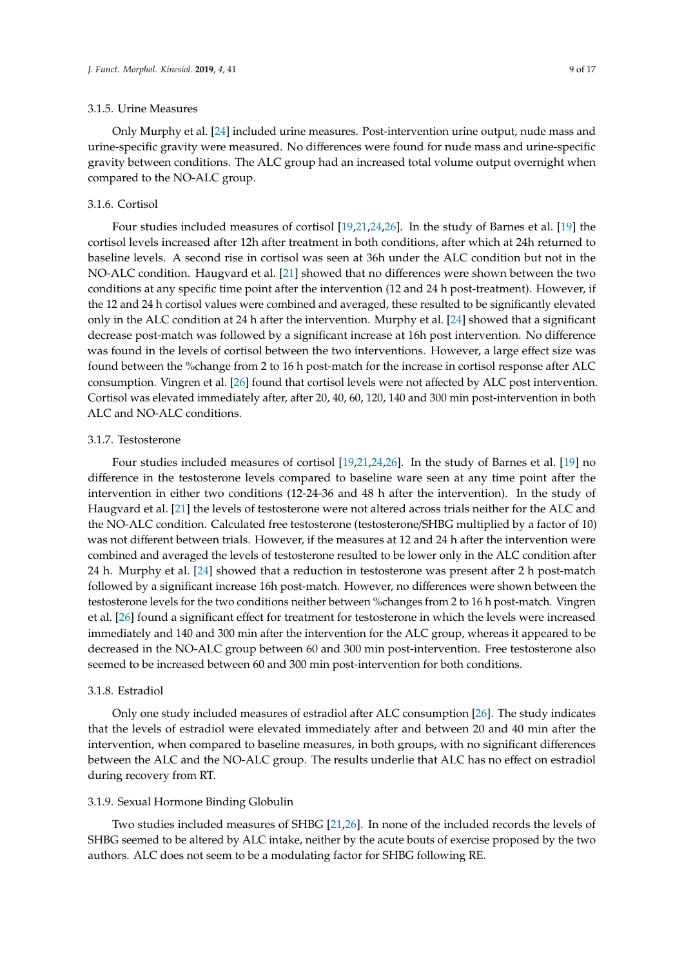#### 3.1.5. Urine Measures

Only Murphy et al. [\[24\]](#page-15-16) included urine measures. Post-intervention urine output, nude mass and urine-specific gravity were measured. No differences were found for nude mass and urine-specific gravity between conditions. The ALC group had an increased total volume output overnight when compared to the NO-ALC group.

## 3.1.6. Cortisol

Four studies included measures of cortisol [\[19](#page-15-17)[,21](#page-15-18)[,24](#page-15-16)[,26\]](#page-16-0). In the study of Barnes et al. [\[19\]](#page-15-17) the cortisol levels increased after 12h after treatment in both conditions, after which at 24h returned to baseline levels. A second rise in cortisol was seen at 36h under the ALC condition but not in the NO-ALC condition. Haugvard et al. [\[21\]](#page-15-18) showed that no differences were shown between the two conditions at any specific time point after the intervention (12 and 24 h post-treatment). However, if the 12 and 24 h cortisol values were combined and averaged, these resulted to be significantly elevated only in the ALC condition at 24 h after the intervention. Murphy et al. [\[24\]](#page-15-16) showed that a significant decrease post-match was followed by a significant increase at 16h post intervention. No difference was found in the levels of cortisol between the two interventions. However, a large effect size was found between the %change from 2 to 16 h post-match for the increase in cortisol response after ALC consumption. Vingren et al. [\[26\]](#page-16-0) found that cortisol levels were not affected by ALC post intervention. Cortisol was elevated immediately after, after 20, 40, 60, 120, 140 and 300 min post-intervention in both ALC and NO-ALC conditions.

## 3.1.7. Testosterone

Four studies included measures of cortisol [\[19](#page-15-17)[,21](#page-15-18)[,24](#page-15-16)[,26\]](#page-16-0). In the study of Barnes et al. [\[19\]](#page-15-17) no difference in the testosterone levels compared to baseline ware seen at any time point after the intervention in either two conditions (12-24-36 and 48 h after the intervention). In the study of Haugvard et al. [\[21\]](#page-15-18) the levels of testosterone were not altered across trials neither for the ALC and the NO-ALC condition. Calculated free testosterone (testosterone/SHBG multiplied by a factor of 10) was not different between trials. However, if the measures at 12 and 24 h after the intervention were combined and averaged the levels of testosterone resulted to be lower only in the ALC condition after 24 h. Murphy et al. [\[24\]](#page-15-16) showed that a reduction in testosterone was present after 2 h post-match followed by a significant increase 16h post-match. However, no differences were shown between the testosterone levels for the two conditions neither between %changes from 2 to 16 h post-match. Vingren et al. [\[26\]](#page-16-0) found a significant effect for treatment for testosterone in which the levels were increased immediately and 140 and 300 min after the intervention for the ALC group, whereas it appeared to be decreased in the NO-ALC group between 60 and 300 min post-intervention. Free testosterone also seemed to be increased between 60 and 300 min post-intervention for both conditions.

## 3.1.8. Estradiol

Only one study included measures of estradiol after ALC consumption [\[26\]](#page-16-0). The study indicates that the levels of estradiol were elevated immediately after and between 20 and 40 min after the intervention, when compared to baseline measures, in both groups, with no significant differences between the ALC and the NO-ALC group. The results underlie that ALC has no effect on estradiol during recovery from RT.

## 3.1.9. Sexual Hormone Binding Globulin

Two studies included measures of SHBG [\[21](#page-15-18)[,26\]](#page-16-0). In none of the included records the levels of SHBG seemed to be altered by ALC intake, neither by the acute bouts of exercise proposed by the two authors. ALC does not seem to be a modulating factor for SHBG following RE.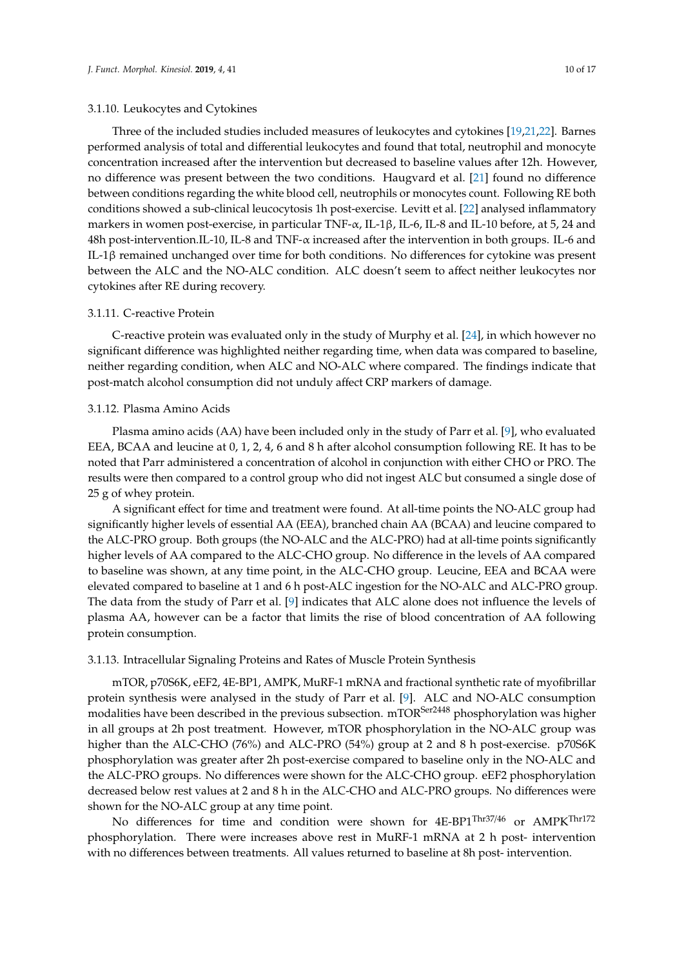Three of the included studies included measures of leukocytes and cytokines [\[19](#page-15-17)[,21](#page-15-18)[,22\]](#page-15-19). Barnes performed analysis of total and differential leukocytes and found that total, neutrophil and monocyte concentration increased after the intervention but decreased to baseline values after 12h. However, no difference was present between the two conditions. Haugvard et al. [\[21\]](#page-15-18) found no difference between conditions regarding the white blood cell, neutrophils or monocytes count. Following RE both conditions showed a sub-clinical leucocytosis 1h post-exercise. Levitt et al. [\[22\]](#page-15-19) analysed inflammatory markers in women post-exercise, in particular TNF-α, IL-1β, IL-6, IL-8 and IL-10 before, at 5, 24 and 48h post-intervention.IL-10, IL-8 and TNF-α increased after the intervention in both groups. IL-6 and IL-1β remained unchanged over time for both conditions. No differences for cytokine was present between the ALC and the NO-ALC condition. ALC doesn't seem to affect neither leukocytes nor cytokines after RE during recovery.

## 3.1.11. C-reactive Protein

C-reactive protein was evaluated only in the study of Murphy et al. [\[24\]](#page-15-16), in which however no significant difference was highlighted neither regarding time, when data was compared to baseline, neither regarding condition, when ALC and NO-ALC where compared. The findings indicate that post-match alcohol consumption did not unduly affect CRP markers of damage.

## 3.1.12. Plasma Amino Acids

Plasma amino acids (AA) have been included only in the study of Parr et al. [\[9\]](#page-15-6), who evaluated EEA, BCAA and leucine at 0, 1, 2, 4, 6 and 8 h after alcohol consumption following RE. It has to be noted that Parr administered a concentration of alcohol in conjunction with either CHO or PRO. The results were then compared to a control group who did not ingest ALC but consumed a single dose of 25 g of whey protein.

A significant effect for time and treatment were found. At all-time points the NO-ALC group had significantly higher levels of essential AA (EEA), branched chain AA (BCAA) and leucine compared to the ALC-PRO group. Both groups (the NO-ALC and the ALC-PRO) had at all-time points significantly higher levels of AA compared to the ALC-CHO group. No difference in the levels of AA compared to baseline was shown, at any time point, in the ALC-CHO group. Leucine, EEA and BCAA were elevated compared to baseline at 1 and 6 h post-ALC ingestion for the NO-ALC and ALC-PRO group. The data from the study of Parr et al. [\[9\]](#page-15-6) indicates that ALC alone does not influence the levels of plasma AA, however can be a factor that limits the rise of blood concentration of AA following protein consumption.

## 3.1.13. Intracellular Signaling Proteins and Rates of Muscle Protein Synthesis

mTOR, p70S6K, eEF2, 4E-BP1, AMPK, MuRF-1 mRNA and fractional synthetic rate of myofibrillar protein synthesis were analysed in the study of Parr et al. [\[9\]](#page-15-6). ALC and NO-ALC consumption modalities have been described in the previous subsection. mTOR<sup>Ser2448</sup> phosphorylation was higher in all groups at 2h post treatment. However, mTOR phosphorylation in the NO-ALC group was higher than the ALC-CHO (76%) and ALC-PRO (54%) group at 2 and 8 h post-exercise. p70S6K phosphorylation was greater after 2h post-exercise compared to baseline only in the NO-ALC and the ALC-PRO groups. No differences were shown for the ALC-CHO group. eEF2 phosphorylation decreased below rest values at 2 and 8 h in the ALC-CHO and ALC-PRO groups. No differences were shown for the NO-ALC group at any time point.

No differences for time and condition were shown for 4E-BP1Thr37/<sup>46</sup> or AMPKThr172 phosphorylation. There were increases above rest in MuRF-1 mRNA at 2 h post- intervention with no differences between treatments. All values returned to baseline at 8h post- intervention.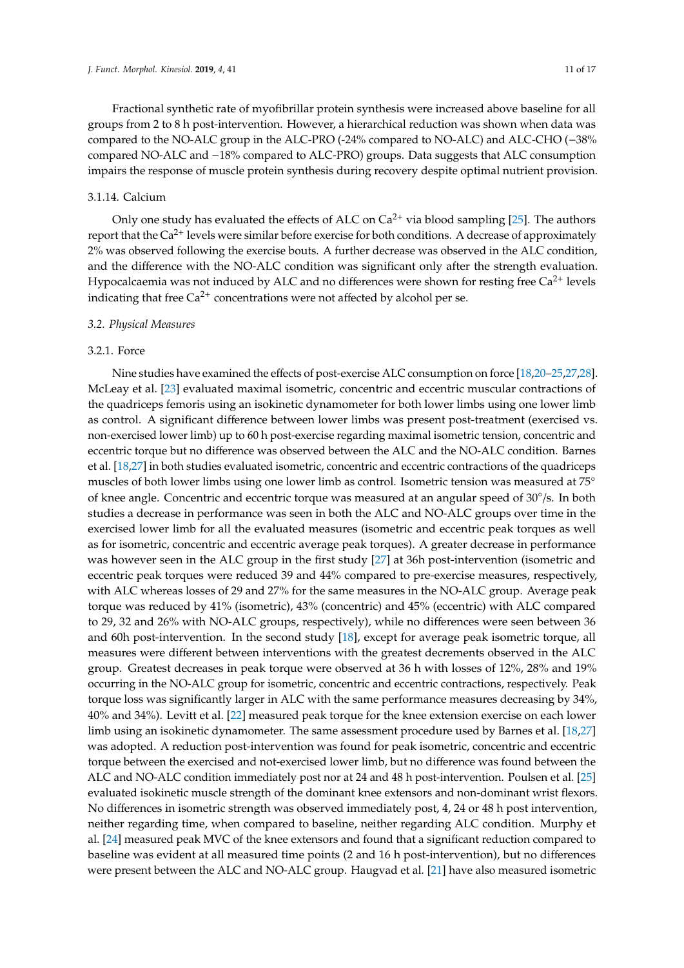Fractional synthetic rate of myofibrillar protein synthesis were increased above baseline for all groups from 2 to 8 h post-intervention. However, a hierarchical reduction was shown when data was compared to the NO-ALC group in the ALC-PRO (-24% compared to NO-ALC) and ALC-CHO (−38% compared NO-ALC and −18% compared to ALC-PRO) groups. Data suggests that ALC consumption impairs the response of muscle protein synthesis during recovery despite optimal nutrient provision.

## 3.1.14. Calcium

Only one study has evaluated the effects of ALC on  $Ca^{2+}$  via blood sampling [\[25\]](#page-15-15). The authors report that the  $Ca^{2+}$  levels were similar before exercise for both conditions. A decrease of approximately 2% was observed following the exercise bouts. A further decrease was observed in the ALC condition, and the difference with the NO-ALC condition was significant only after the strength evaluation. Hypocalcaemia was not induced by ALC and no differences were shown for resting free  $Ca^{2+}$  levels indicating that free  $Ca^{2+}$  concentrations were not affected by alcohol per se.

## *3.2. Physical Measures*

## 3.2.1. Force

Nine studies have examined the effects of post-exercise ALC consumption on force [\[18,](#page-15-14)[20](#page-15-20)[–25](#page-15-15)[,27](#page-16-1)[,28\]](#page-16-2). McLeay et al. [\[23\]](#page-15-21) evaluated maximal isometric, concentric and eccentric muscular contractions of the quadriceps femoris using an isokinetic dynamometer for both lower limbs using one lower limb as control. A significant difference between lower limbs was present post-treatment (exercised vs. non-exercised lower limb) up to 60 h post-exercise regarding maximal isometric tension, concentric and eccentric torque but no difference was observed between the ALC and the NO-ALC condition. Barnes et al. [\[18,](#page-15-14)[27\]](#page-16-1) in both studies evaluated isometric, concentric and eccentric contractions of the quadriceps muscles of both lower limbs using one lower limb as control. Isometric tension was measured at 75° of knee angle. Concentric and eccentric torque was measured at an angular speed of 30°/s. In both studies a decrease in performance was seen in both the ALC and NO-ALC groups over time in the exercised lower limb for all the evaluated measures (isometric and eccentric peak torques as well as for isometric, concentric and eccentric average peak torques). A greater decrease in performance was however seen in the ALC group in the first study [\[27\]](#page-16-1) at 36h post-intervention (isometric and eccentric peak torques were reduced 39 and 44% compared to pre-exercise measures, respectively, with ALC whereas losses of 29 and 27% for the same measures in the NO-ALC group. Average peak torque was reduced by 41% (isometric), 43% (concentric) and 45% (eccentric) with ALC compared to 29, 32 and 26% with NO-ALC groups, respectively), while no differences were seen between 36 and 60h post-intervention. In the second study [\[18\]](#page-15-14), except for average peak isometric torque, all measures were different between interventions with the greatest decrements observed in the ALC group. Greatest decreases in peak torque were observed at 36 h with losses of 12%, 28% and 19% occurring in the NO-ALC group for isometric, concentric and eccentric contractions, respectively. Peak torque loss was significantly larger in ALC with the same performance measures decreasing by 34%, 40% and 34%). Levitt et al. [\[22\]](#page-15-19) measured peak torque for the knee extension exercise on each lower limb using an isokinetic dynamometer. The same assessment procedure used by Barnes et al. [\[18](#page-15-14)[,27\]](#page-16-1) was adopted. A reduction post-intervention was found for peak isometric, concentric and eccentric torque between the exercised and not-exercised lower limb, but no difference was found between the ALC and NO-ALC condition immediately post nor at 24 and 48 h post-intervention. Poulsen et al. [\[25\]](#page-15-15) evaluated isokinetic muscle strength of the dominant knee extensors and non-dominant wrist flexors. No differences in isometric strength was observed immediately post, 4, 24 or 48 h post intervention, neither regarding time, when compared to baseline, neither regarding ALC condition. Murphy et al. [\[24\]](#page-15-16) measured peak MVC of the knee extensors and found that a significant reduction compared to baseline was evident at all measured time points (2 and 16 h post-intervention), but no differences were present between the ALC and NO-ALC group. Haugvad et al. [\[21\]](#page-15-18) have also measured isometric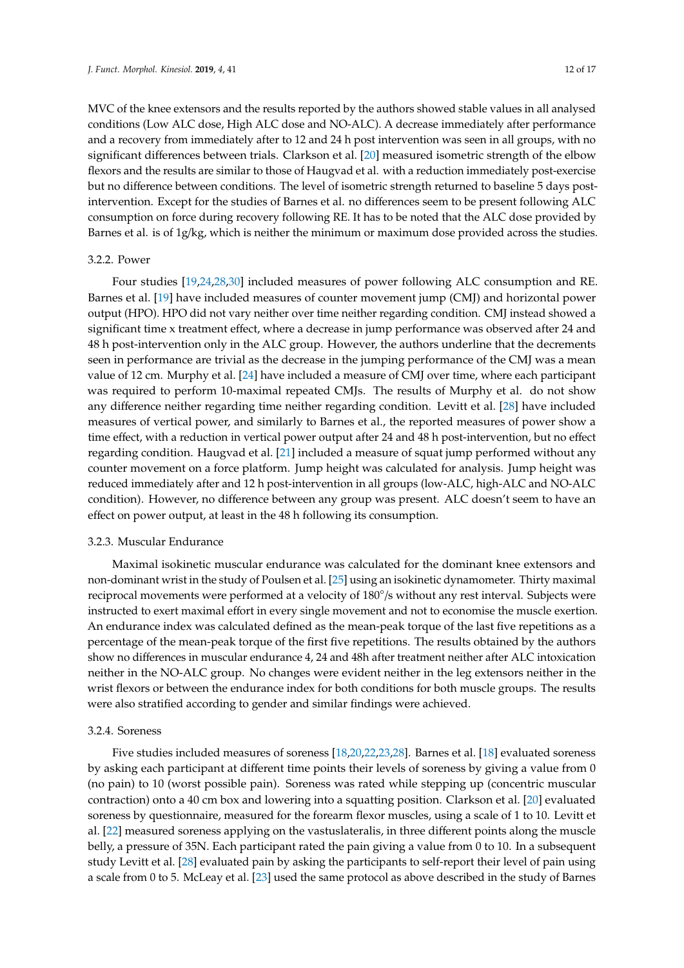MVC of the knee extensors and the results reported by the authors showed stable values in all analysed conditions (Low ALC dose, High ALC dose and NO-ALC). A decrease immediately after performance and a recovery from immediately after to 12 and 24 h post intervention was seen in all groups, with no significant differences between trials. Clarkson et al. [\[20\]](#page-15-20) measured isometric strength of the elbow flexors and the results are similar to those of Haugvad et al. with a reduction immediately post-exercise but no difference between conditions. The level of isometric strength returned to baseline 5 days postintervention. Except for the studies of Barnes et al. no differences seem to be present following ALC consumption on force during recovery following RE. It has to be noted that the ALC dose provided by Barnes et al. is of 1g/kg, which is neither the minimum or maximum dose provided across the studies.

## 3.2.2. Power

Four studies [\[19,](#page-15-17)[24,](#page-15-16)[28,](#page-16-2)[30\]](#page-16-7) included measures of power following ALC consumption and RE. Barnes et al. [\[19\]](#page-15-17) have included measures of counter movement jump (CMJ) and horizontal power output (HPO). HPO did not vary neither over time neither regarding condition. CMJ instead showed a significant time x treatment effect, where a decrease in jump performance was observed after 24 and 48 h post-intervention only in the ALC group. However, the authors underline that the decrements seen in performance are trivial as the decrease in the jumping performance of the CMJ was a mean value of 12 cm. Murphy et al. [\[24\]](#page-15-16) have included a measure of CMJ over time, where each participant was required to perform 10-maximal repeated CMJs. The results of Murphy et al. do not show any difference neither regarding time neither regarding condition. Levitt et al. [\[28\]](#page-16-2) have included measures of vertical power, and similarly to Barnes et al., the reported measures of power show a time effect, with a reduction in vertical power output after 24 and 48 h post-intervention, but no effect regarding condition. Haugvad et al. [\[21\]](#page-15-18) included a measure of squat jump performed without any counter movement on a force platform. Jump height was calculated for analysis. Jump height was reduced immediately after and 12 h post-intervention in all groups (low-ALC, high-ALC and NO-ALC condition). However, no difference between any group was present. ALC doesn't seem to have an effect on power output, at least in the 48 h following its consumption.

## 3.2.3. Muscular Endurance

Maximal isokinetic muscular endurance was calculated for the dominant knee extensors and non-dominant wrist in the study of Poulsen et al. [\[25\]](#page-15-15) using an isokinetic dynamometer. Thirty maximal reciprocal movements were performed at a velocity of 180°/s without any rest interval. Subjects were instructed to exert maximal effort in every single movement and not to economise the muscle exertion. An endurance index was calculated defined as the mean-peak torque of the last five repetitions as a percentage of the mean-peak torque of the first five repetitions. The results obtained by the authors show no differences in muscular endurance 4, 24 and 48h after treatment neither after ALC intoxication neither in the NO-ALC group. No changes were evident neither in the leg extensors neither in the wrist flexors or between the endurance index for both conditions for both muscle groups. The results were also stratified according to gender and similar findings were achieved.

#### 3.2.4. Soreness

Five studies included measures of soreness [\[18,](#page-15-14)[20,](#page-15-20)[22,](#page-15-19)[23,](#page-15-21)[28\]](#page-16-2). Barnes et al. [\[18\]](#page-15-14) evaluated soreness by asking each participant at different time points their levels of soreness by giving a value from 0 (no pain) to 10 (worst possible pain). Soreness was rated while stepping up (concentric muscular contraction) onto a 40 cm box and lowering into a squatting position. Clarkson et al. [\[20\]](#page-15-20) evaluated soreness by questionnaire, measured for the forearm flexor muscles, using a scale of 1 to 10. Levitt et al. [\[22\]](#page-15-19) measured soreness applying on the vastuslateralis, in three different points along the muscle belly, a pressure of 35N. Each participant rated the pain giving a value from 0 to 10. In a subsequent study Levitt et al. [\[28\]](#page-16-2) evaluated pain by asking the participants to self-report their level of pain using a scale from 0 to 5. McLeay et al. [\[23\]](#page-15-21) used the same protocol as above described in the study of Barnes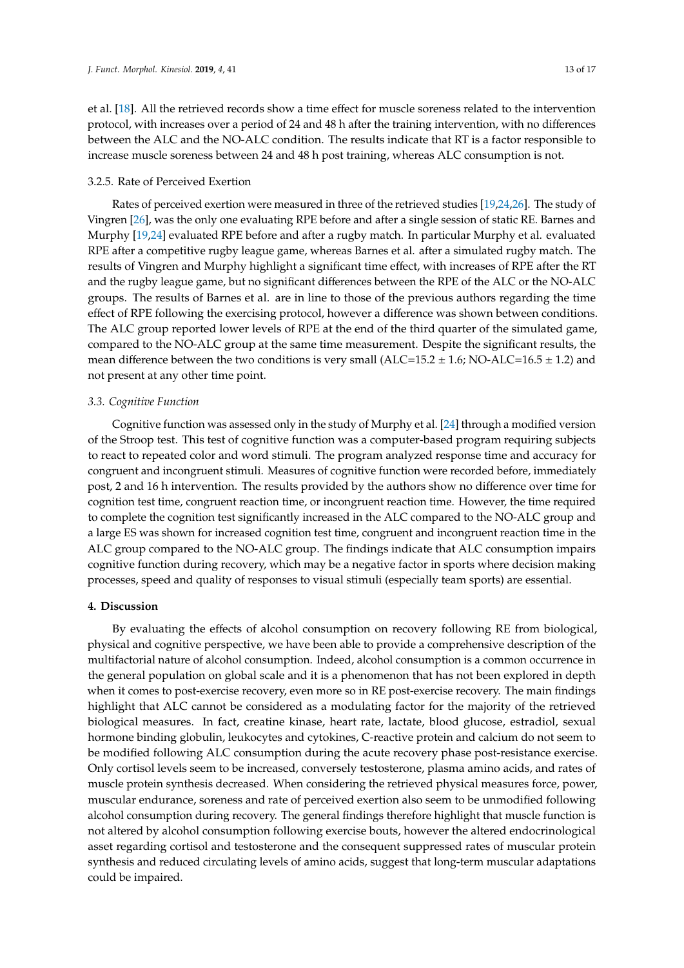et al. [\[18\]](#page-15-14). All the retrieved records show a time effect for muscle soreness related to the intervention protocol, with increases over a period of 24 and 48 h after the training intervention, with no differences between the ALC and the NO-ALC condition. The results indicate that RT is a factor responsible to increase muscle soreness between 24 and 48 h post training, whereas ALC consumption is not.

### 3.2.5. Rate of Perceived Exertion

Rates of perceived exertion were measured in three of the retrieved studies [\[19,](#page-15-17)[24,](#page-15-16)[26\]](#page-16-0). The study of Vingren [\[26\]](#page-16-0), was the only one evaluating RPE before and after a single session of static RE. Barnes and Murphy [\[19](#page-15-17)[,24\]](#page-15-16) evaluated RPE before and after a rugby match. In particular Murphy et al. evaluated RPE after a competitive rugby league game, whereas Barnes et al. after a simulated rugby match. The results of Vingren and Murphy highlight a significant time effect, with increases of RPE after the RT and the rugby league game, but no significant differences between the RPE of the ALC or the NO-ALC groups. The results of Barnes et al. are in line to those of the previous authors regarding the time effect of RPE following the exercising protocol, however a difference was shown between conditions. The ALC group reported lower levels of RPE at the end of the third quarter of the simulated game, compared to the NO-ALC group at the same time measurement. Despite the significant results, the mean difference between the two conditions is very small (ALC=15.2  $\pm$  1.6; NO-ALC=16.5  $\pm$  1.2) and not present at any other time point.

#### *3.3. Cognitive Function*

Cognitive function was assessed only in the study of Murphy et al. [\[24\]](#page-15-16) through a modified version of the Stroop test. This test of cognitive function was a computer-based program requiring subjects to react to repeated color and word stimuli. The program analyzed response time and accuracy for congruent and incongruent stimuli. Measures of cognitive function were recorded before, immediately post, 2 and 16 h intervention. The results provided by the authors show no difference over time for cognition test time, congruent reaction time, or incongruent reaction time. However, the time required to complete the cognition test significantly increased in the ALC compared to the NO-ALC group and a large ES was shown for increased cognition test time, congruent and incongruent reaction time in the ALC group compared to the NO-ALC group. The findings indicate that ALC consumption impairs cognitive function during recovery, which may be a negative factor in sports where decision making processes, speed and quality of responses to visual stimuli (especially team sports) are essential.

## **4. Discussion**

By evaluating the effects of alcohol consumption on recovery following RE from biological, physical and cognitive perspective, we have been able to provide a comprehensive description of the multifactorial nature of alcohol consumption. Indeed, alcohol consumption is a common occurrence in the general population on global scale and it is a phenomenon that has not been explored in depth when it comes to post-exercise recovery, even more so in RE post-exercise recovery. The main findings highlight that ALC cannot be considered as a modulating factor for the majority of the retrieved biological measures. In fact, creatine kinase, heart rate, lactate, blood glucose, estradiol, sexual hormone binding globulin, leukocytes and cytokines, C-reactive protein and calcium do not seem to be modified following ALC consumption during the acute recovery phase post-resistance exercise. Only cortisol levels seem to be increased, conversely testosterone, plasma amino acids, and rates of muscle protein synthesis decreased. When considering the retrieved physical measures force, power, muscular endurance, soreness and rate of perceived exertion also seem to be unmodified following alcohol consumption during recovery. The general findings therefore highlight that muscle function is not altered by alcohol consumption following exercise bouts, however the altered endocrinological asset regarding cortisol and testosterone and the consequent suppressed rates of muscular protein synthesis and reduced circulating levels of amino acids, suggest that long-term muscular adaptations could be impaired.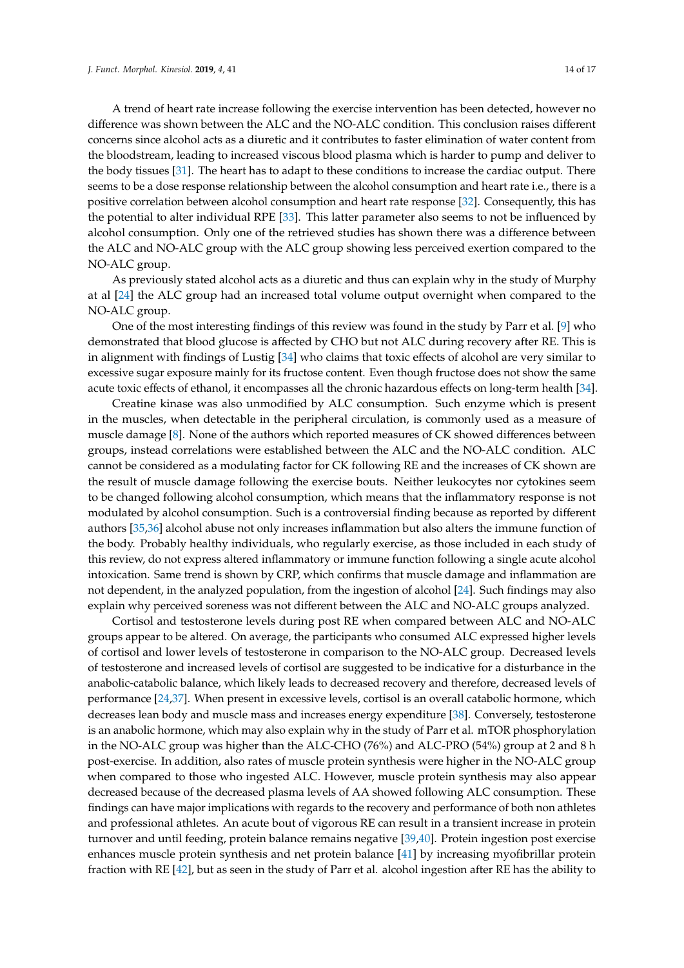A trend of heart rate increase following the exercise intervention has been detected, however no difference was shown between the ALC and the NO-ALC condition. This conclusion raises different concerns since alcohol acts as a diuretic and it contributes to faster elimination of water content from the bloodstream, leading to increased viscous blood plasma which is harder to pump and deliver to the body tissues [\[31\]](#page-16-8). The heart has to adapt to these conditions to increase the cardiac output. There seems to be a dose response relationship between the alcohol consumption and heart rate i.e., there is a positive correlation between alcohol consumption and heart rate response [\[32\]](#page-16-9). Consequently, this has the potential to alter individual RPE [\[33\]](#page-16-10). This latter parameter also seems to not be influenced by alcohol consumption. Only one of the retrieved studies has shown there was a difference between the ALC and NO-ALC group with the ALC group showing less perceived exertion compared to the NO-ALC group.

As previously stated alcohol acts as a diuretic and thus can explain why in the study of Murphy at al [\[24\]](#page-15-16) the ALC group had an increased total volume output overnight when compared to the NO-ALC group.

One of the most interesting findings of this review was found in the study by Parr et al. [\[9\]](#page-15-6) who demonstrated that blood glucose is affected by CHO but not ALC during recovery after RE. This is in alignment with findings of Lustig [\[34\]](#page-16-11) who claims that toxic effects of alcohol are very similar to excessive sugar exposure mainly for its fructose content. Even though fructose does not show the same acute toxic effects of ethanol, it encompasses all the chronic hazardous effects on long-term health [\[34\]](#page-16-11).

Creatine kinase was also unmodified by ALC consumption. Such enzyme which is present in the muscles, when detectable in the peripheral circulation, is commonly used as a measure of muscle damage [\[8\]](#page-15-5). None of the authors which reported measures of CK showed differences between groups, instead correlations were established between the ALC and the NO-ALC condition. ALC cannot be considered as a modulating factor for CK following RE and the increases of CK shown are the result of muscle damage following the exercise bouts. Neither leukocytes nor cytokines seem to be changed following alcohol consumption, which means that the inflammatory response is not modulated by alcohol consumption. Such is a controversial finding because as reported by different authors [\[35,](#page-16-12)[36\]](#page-16-13) alcohol abuse not only increases inflammation but also alters the immune function of the body. Probably healthy individuals, who regularly exercise, as those included in each study of this review, do not express altered inflammatory or immune function following a single acute alcohol intoxication. Same trend is shown by CRP, which confirms that muscle damage and inflammation are not dependent, in the analyzed population, from the ingestion of alcohol [\[24\]](#page-15-16). Such findings may also explain why perceived soreness was not different between the ALC and NO-ALC groups analyzed.

Cortisol and testosterone levels during post RE when compared between ALC and NO-ALC groups appear to be altered. On average, the participants who consumed ALC expressed higher levels of cortisol and lower levels of testosterone in comparison to the NO-ALC group. Decreased levels of testosterone and increased levels of cortisol are suggested to be indicative for a disturbance in the anabolic-catabolic balance, which likely leads to decreased recovery and therefore, decreased levels of performance [\[24,](#page-15-16)[37\]](#page-16-14). When present in excessive levels, cortisol is an overall catabolic hormone, which decreases lean body and muscle mass and increases energy expenditure [\[38\]](#page-16-15). Conversely, testosterone is an anabolic hormone, which may also explain why in the study of Parr et al. mTOR phosphorylation in the NO-ALC group was higher than the ALC-CHO (76%) and ALC-PRO (54%) group at 2 and 8 h post-exercise. In addition, also rates of muscle protein synthesis were higher in the NO-ALC group when compared to those who ingested ALC. However, muscle protein synthesis may also appear decreased because of the decreased plasma levels of AA showed following ALC consumption. These findings can have major implications with regards to the recovery and performance of both non athletes and professional athletes. An acute bout of vigorous RE can result in a transient increase in protein turnover and until feeding, protein balance remains negative [\[39,](#page-16-16)[40\]](#page-16-17). Protein ingestion post exercise enhances muscle protein synthesis and net protein balance [\[41\]](#page-16-18) by increasing myofibrillar protein fraction with RE [\[42\]](#page-16-19), but as seen in the study of Parr et al. alcohol ingestion after RE has the ability to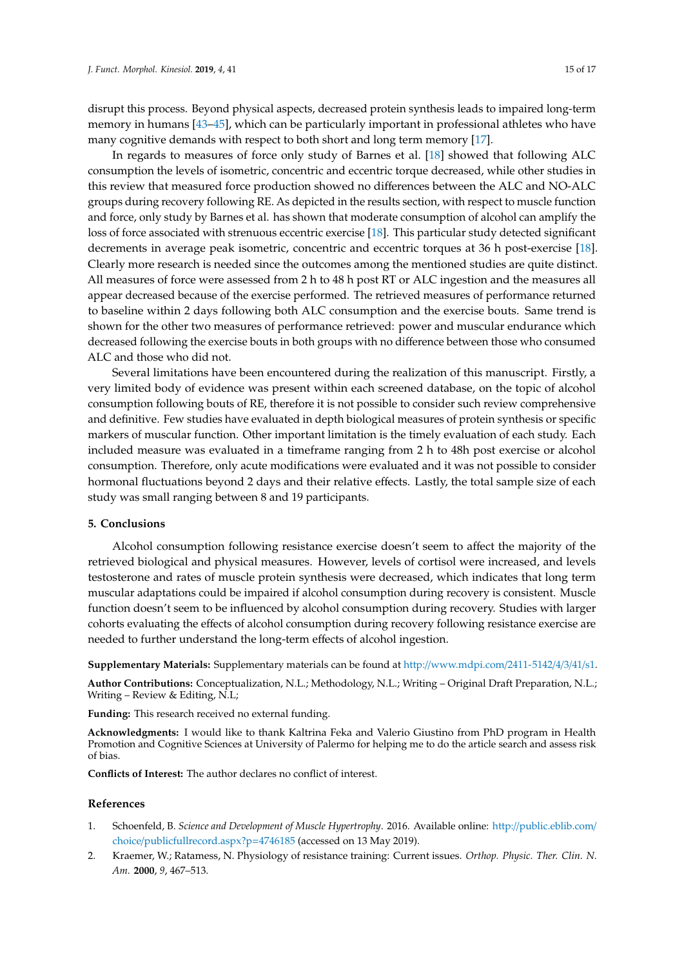disrupt this process. Beyond physical aspects, decreased protein synthesis leads to impaired long-term memory in humans [\[43–](#page-16-20)[45\]](#page-16-21), which can be particularly important in professional athletes who have many cognitive demands with respect to both short and long term memory [\[17\]](#page-15-13).

In regards to measures of force only study of Barnes et al. [\[18\]](#page-15-14) showed that following ALC consumption the levels of isometric, concentric and eccentric torque decreased, while other studies in this review that measured force production showed no differences between the ALC and NO-ALC groups during recovery following RE. As depicted in the results section, with respect to muscle function and force, only study by Barnes et al. has shown that moderate consumption of alcohol can amplify the loss of force associated with strenuous eccentric exercise [\[18\]](#page-15-14). This particular study detected significant decrements in average peak isometric, concentric and eccentric torques at 36 h post-exercise [\[18\]](#page-15-14). Clearly more research is needed since the outcomes among the mentioned studies are quite distinct. All measures of force were assessed from 2 h to 48 h post RT or ALC ingestion and the measures all appear decreased because of the exercise performed. The retrieved measures of performance returned to baseline within 2 days following both ALC consumption and the exercise bouts. Same trend is shown for the other two measures of performance retrieved: power and muscular endurance which decreased following the exercise bouts in both groups with no difference between those who consumed ALC and those who did not.

Several limitations have been encountered during the realization of this manuscript. Firstly, a very limited body of evidence was present within each screened database, on the topic of alcohol consumption following bouts of RE, therefore it is not possible to consider such review comprehensive and definitive. Few studies have evaluated in depth biological measures of protein synthesis or specific markers of muscular function. Other important limitation is the timely evaluation of each study. Each included measure was evaluated in a timeframe ranging from 2 h to 48h post exercise or alcohol consumption. Therefore, only acute modifications were evaluated and it was not possible to consider hormonal fluctuations beyond 2 days and their relative effects. Lastly, the total sample size of each study was small ranging between 8 and 19 participants.

## **5. Conclusions**

Alcohol consumption following resistance exercise doesn't seem to affect the majority of the retrieved biological and physical measures. However, levels of cortisol were increased, and levels testosterone and rates of muscle protein synthesis were decreased, which indicates that long term muscular adaptations could be impaired if alcohol consumption during recovery is consistent. Muscle function doesn't seem to be influenced by alcohol consumption during recovery. Studies with larger cohorts evaluating the effects of alcohol consumption during recovery following resistance exercise are needed to further understand the long-term effects of alcohol ingestion.

**Supplementary Materials:** Supplementary materials can be found at http://[www.mdpi.com](http://www.mdpi.com/2411-5142/4/3/41/s1)/2411-5142/4/3/41/s1.

**Author Contributions:** Conceptualization, N.L.; Methodology, N.L.; Writing – Original Draft Preparation, N.L.; Writing – Review & Editing, N.L;

**Funding:** This research received no external funding.

**Acknowledgments:** I would like to thank Kaltrina Feka and Valerio Giustino from PhD program in Health Promotion and Cognitive Sciences at University of Palermo for helping me to do the article search and assess risk of bias.

**Conflicts of Interest:** The author declares no conflict of interest.

#### **References**

- <span id="page-14-0"></span>1. Schoenfeld, B. *Science and Development of Muscle Hypertrophy*. 2016. Available online: http://[public.eblib.com](http://public.eblib.com/choice/publicfullrecord.aspx?p=4746185)/ choice/[publicfullrecord.aspx?p](http://public.eblib.com/choice/publicfullrecord.aspx?p=4746185)=4746185 (accessed on 13 May 2019).
- <span id="page-14-1"></span>2. Kraemer, W.; Ratamess, N. Physiology of resistance training: Current issues. *Orthop. Physic. Ther. Clin. N. Am.* **2000**, *9*, 467–513.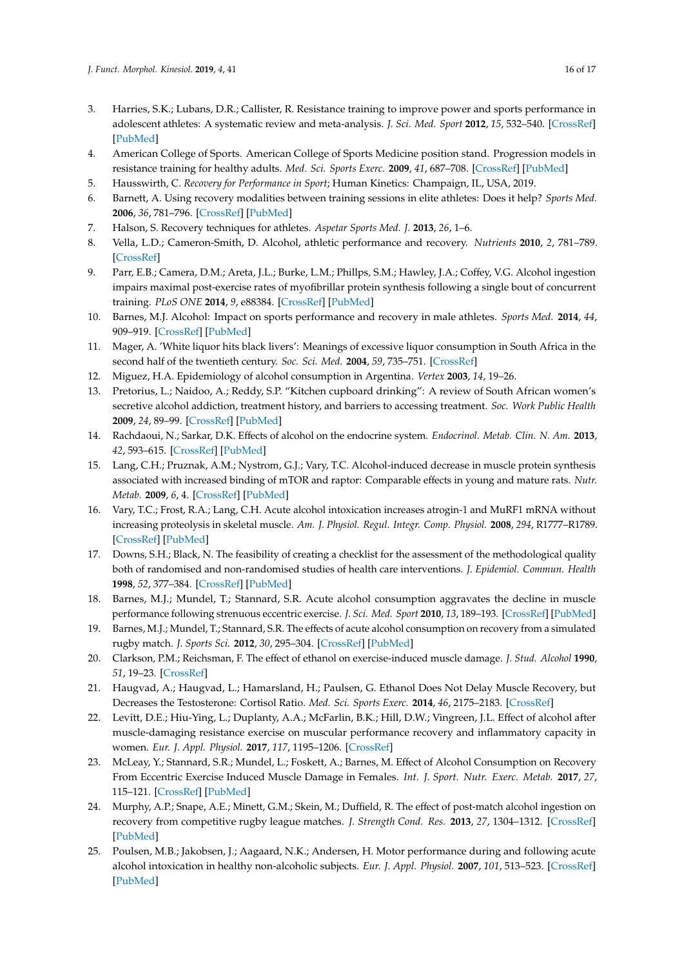- <span id="page-15-29"></span><span id="page-15-0"></span>3. Harries, S.K.; Lubans, D.R.; Callister, R. Resistance training to improve power and sports performance in adolescent athletes: A systematic review and meta-analysis. *J. Sci. Med. Sport* **2012**, *15*, 532–540. [\[CrossRef\]](http://dx.doi.org/10.1016/j.jsams.2012.02.005) [\[PubMed\]](http://www.ncbi.nlm.nih.gov/pubmed/22541990)
- <span id="page-15-1"></span>4. American College of Sports. American College of Sports Medicine position stand. Progression models in resistance training for healthy adults. *Med. Sci. Sports Exerc.* **2009**, *41*, 687–708. [\[CrossRef\]](http://dx.doi.org/10.1249/MSS.0b013e3181915670) [\[PubMed\]](http://www.ncbi.nlm.nih.gov/pubmed/19204579)
- <span id="page-15-2"></span>5. Hausswirth, C. *Recovery for Performance in Sport*; Human Kinetics: Champaign, IL, USA, 2019.
- <span id="page-15-3"></span>6. Barnett, A. Using recovery modalities between training sessions in elite athletes: Does it help? *Sports Med.* **2006**, *36*, 781–796. [\[CrossRef\]](http://dx.doi.org/10.2165/00007256-200636090-00005) [\[PubMed\]](http://www.ncbi.nlm.nih.gov/pubmed/16937953)
- <span id="page-15-4"></span>7. Halson, S. Recovery techniques for athletes. *Aspetar Sports Med. J.* **2013**, *26*, 1–6.
- <span id="page-15-5"></span>8. Vella, L.D.; Cameron-Smith, D. Alcohol, athletic performance and recovery. *Nutrients* **2010**, *2*, 781–789. [\[CrossRef\]](http://dx.doi.org/10.3390/nu2080781)
- <span id="page-15-6"></span>9. Parr, E.B.; Camera, D.M.; Areta, J.L.; Burke, L.M.; Phillps, S.M.; Hawley, J.A.; Coffey, V.G. Alcohol ingestion impairs maximal post-exercise rates of myofibrillar protein synthesis following a single bout of concurrent training. *PLoS ONE* **2014**, *9*, e88384. [\[CrossRef\]](http://dx.doi.org/10.1371/journal.pone.0088384) [\[PubMed\]](http://www.ncbi.nlm.nih.gov/pubmed/24533082)
- <span id="page-15-22"></span><span id="page-15-7"></span>10. Barnes, M.J. Alcohol: Impact on sports performance and recovery in male athletes. *Sports Med.* **2014**, *44*, 909–919. [\[CrossRef\]](http://dx.doi.org/10.1007/s40279-014-0192-8) [\[PubMed\]](http://www.ncbi.nlm.nih.gov/pubmed/24748461)
- <span id="page-15-23"></span><span id="page-15-8"></span>11. Mager, A. 'White liquor hits black livers': Meanings of excessive liquor consumption in South Africa in the second half of the twentieth century. *Soc. Sci. Med.* **2004**, *59*, 735–751. [\[CrossRef\]](http://dx.doi.org/10.1016/j.socscimed.2003.12.005)
- <span id="page-15-24"></span>12. Miguez, H.A. Epidemiology of alcohol consumption in Argentina. *Vertex* **2003**, *14*, 19–26.
- <span id="page-15-25"></span><span id="page-15-9"></span>13. Pretorius, L.; Naidoo, A.; Reddy, S.P. "Kitchen cupboard drinking": A review of South African women's secretive alcohol addiction, treatment history, and barriers to accessing treatment. *Soc. Work Public Health* **2009**, *24*, 89–99. [\[CrossRef\]](http://dx.doi.org/10.1080/19371910802569575) [\[PubMed\]](http://www.ncbi.nlm.nih.gov/pubmed/19229775)
- <span id="page-15-26"></span><span id="page-15-10"></span>14. Rachdaoui, N.; Sarkar, D.K. Effects of alcohol on the endocrine system. *Endocrinol. Metab. Clin. N. Am.* **2013**, *42*, 593–615. [\[CrossRef\]](http://dx.doi.org/10.1016/j.ecl.2013.05.008) [\[PubMed\]](http://www.ncbi.nlm.nih.gov/pubmed/24011889)
- <span id="page-15-27"></span><span id="page-15-11"></span>15. Lang, C.H.; Pruznak, A.M.; Nystrom, G.J.; Vary, T.C. Alcohol-induced decrease in muscle protein synthesis associated with increased binding of mTOR and raptor: Comparable effects in young and mature rats. *Nutr. Metab.* **2009**, *6*, 4. [\[CrossRef\]](http://dx.doi.org/10.1186/1743-7075-6-4) [\[PubMed\]](http://www.ncbi.nlm.nih.gov/pubmed/19154606)
- <span id="page-15-28"></span><span id="page-15-12"></span>16. Vary, T.C.; Frost, R.A.; Lang, C.H. Acute alcohol intoxication increases atrogin-1 and MuRF1 mRNA without increasing proteolysis in skeletal muscle. *Am. J. Physiol. Regul. Integr. Comp. Physiol.* **2008**, *294*, R1777–R1789. [\[CrossRef\]](http://dx.doi.org/10.1152/ajpregu.00056.2008) [\[PubMed\]](http://www.ncbi.nlm.nih.gov/pubmed/18401005)
- <span id="page-15-30"></span><span id="page-15-13"></span>17. Downs, S.H.; Black, N. The feasibility of creating a checklist for the assessment of the methodological quality both of randomised and non-randomised studies of health care interventions. *J. Epidemiol. Commun. Health* **1998**, *52*, 377–384. [\[CrossRef\]](http://dx.doi.org/10.1136/jech.52.6.377) [\[PubMed\]](http://www.ncbi.nlm.nih.gov/pubmed/9764259)
- <span id="page-15-14"></span>18. Barnes, M.J.; Mundel, T.; Stannard, S.R. Acute alcohol consumption aggravates the decline in muscle performance following strenuous eccentric exercise. *J. Sci. Med. Sport* **2010**, *13*, 189–193. [\[CrossRef\]](http://dx.doi.org/10.1016/j.jsams.2008.12.627) [\[PubMed\]](http://www.ncbi.nlm.nih.gov/pubmed/19230764)
- <span id="page-15-17"></span>19. Barnes, M.J.; Mundel, T.; Stannard, S.R. The effects of acute alcohol consumption on recovery from a simulated rugby match. *J. Sports Sci.* **2012**, *30*, 295–304. [\[CrossRef\]](http://dx.doi.org/10.1080/02640414.2011.637949) [\[PubMed\]](http://www.ncbi.nlm.nih.gov/pubmed/22168345)
- <span id="page-15-20"></span>20. Clarkson, P.M.; Reichsman, F. The effect of ethanol on exercise-induced muscle damage. *J. Stud. Alcohol* **1990**, *51*, 19–23. [\[CrossRef\]](http://dx.doi.org/10.15288/jsa.1990.51.19)
- <span id="page-15-18"></span>21. Haugvad, A.; Haugvad, L.; Hamarsland, H.; Paulsen, G. Ethanol Does Not Delay Muscle Recovery, but Decreases the Testosterone: Cortisol Ratio. *Med. Sci. Sports Exerc.* **2014**, *46*, 2175–2183. [\[CrossRef\]](http://dx.doi.org/10.1249/MSS.0000000000000339)
- <span id="page-15-19"></span>22. Levitt, D.E.; Hiu-Ying, L.; Duplanty, A.A.; McFarlin, B.K.; Hill, D.W.; Vingreen, J.L. Effect of alcohol after muscle-damaging resistance exercise on muscular performance recovery and inflammatory capacity in women. *Eur. J. Appl. Physiol.* **2017**, *117*, 1195–1206. [\[CrossRef\]](http://dx.doi.org/10.1007/s00421-017-3606-0)
- <span id="page-15-21"></span>23. McLeay, Y.; Stannard, S.R.; Mundel, L.; Foskett, A.; Barnes, M. Effect of Alcohol Consumption on Recovery From Eccentric Exercise Induced Muscle Damage in Females. *Int. J. Sport. Nutr. Exerc. Metab.* **2017**, *27*, 115–121. [\[CrossRef\]](http://dx.doi.org/10.1123/ijsnem.2016-0171) [\[PubMed\]](http://www.ncbi.nlm.nih.gov/pubmed/27768503)
- <span id="page-15-16"></span>24. Murphy, A.P.; Snape, A.E.; Minett, G.M.; Skein, M.; Duffield, R. The effect of post-match alcohol ingestion on recovery from competitive rugby league matches. *J. Strength Cond. Res.* **2013**, *27*, 1304–1312. [\[CrossRef\]](http://dx.doi.org/10.1519/JSC.0b013e318267a5e9) [\[PubMed\]](http://www.ncbi.nlm.nih.gov/pubmed/22836602)
- <span id="page-15-15"></span>25. Poulsen, M.B.; Jakobsen, J.; Aagaard, N.K.; Andersen, H. Motor performance during and following acute alcohol intoxication in healthy non-alcoholic subjects. *Eur. J. Appl. Physiol.* **2007**, *101*, 513–523. [\[CrossRef\]](http://dx.doi.org/10.1007/s00421-007-0511-y) [\[PubMed\]](http://www.ncbi.nlm.nih.gov/pubmed/17717682)